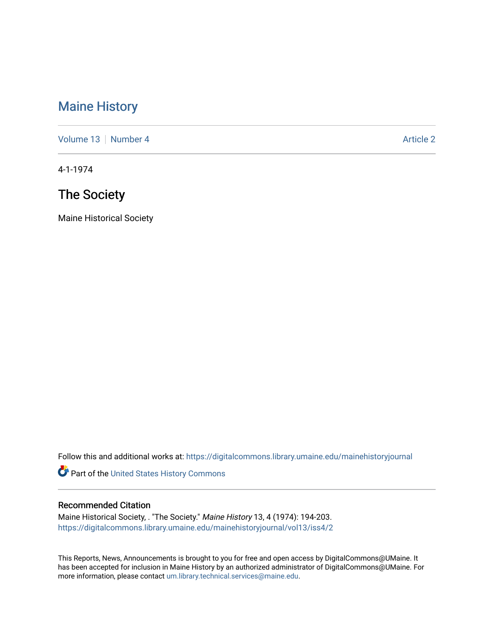## [Maine History](https://digitalcommons.library.umaine.edu/mainehistoryjournal)

[Volume 13](https://digitalcommons.library.umaine.edu/mainehistoryjournal/vol13) [Number 4](https://digitalcommons.library.umaine.edu/mainehistoryjournal/vol13/iss4) [Article 2](https://digitalcommons.library.umaine.edu/mainehistoryjournal/vol13/iss4/2) Article 2

4-1-1974

# The Society

Maine Historical Society

Follow this and additional works at: [https://digitalcommons.library.umaine.edu/mainehistoryjournal](https://digitalcommons.library.umaine.edu/mainehistoryjournal?utm_source=digitalcommons.library.umaine.edu%2Fmainehistoryjournal%2Fvol13%2Fiss4%2F2&utm_medium=PDF&utm_campaign=PDFCoverPages) 

Part of the [United States History Commons](http://network.bepress.com/hgg/discipline/495?utm_source=digitalcommons.library.umaine.edu%2Fmainehistoryjournal%2Fvol13%2Fiss4%2F2&utm_medium=PDF&utm_campaign=PDFCoverPages) 

#### Recommended Citation

Maine Historical Society, . "The Society." Maine History 13, 4 (1974): 194-203. [https://digitalcommons.library.umaine.edu/mainehistoryjournal/vol13/iss4/2](https://digitalcommons.library.umaine.edu/mainehistoryjournal/vol13/iss4/2?utm_source=digitalcommons.library.umaine.edu%2Fmainehistoryjournal%2Fvol13%2Fiss4%2F2&utm_medium=PDF&utm_campaign=PDFCoverPages)

This Reports, News, Announcements is brought to you for free and open access by DigitalCommons@UMaine. It has been accepted for inclusion in Maine History by an authorized administrator of DigitalCommons@UMaine. For more information, please contact [um.library.technical.services@maine.edu](mailto:um.library.technical.services@maine.edu).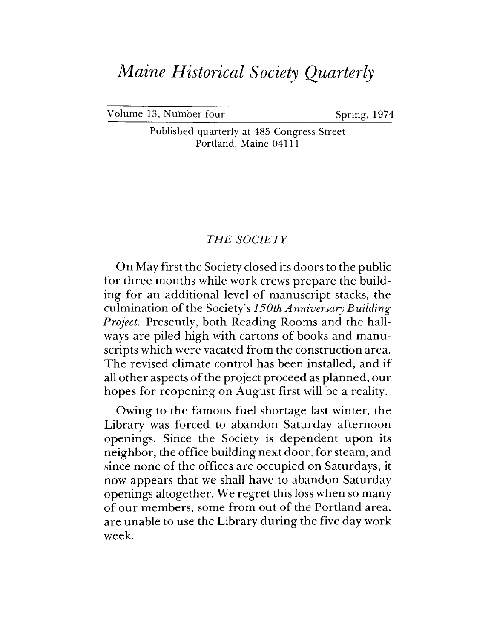# *Maine Historical Society Quarterly*

Volume 13, Number four Spring, 1974

Published quarterly at 485 Congress Street Portland, Maine 04111

### *THE SOCIETY*

On May first the Society closed its doors to the public for three months while work crews prepare the building for an additional level of manuscript stacks, the culmination ofthe Society'<sup>s</sup> *150th Anniversary Building Project.* Presently, both Reading Rooms and the hallways are piled high with cartons of books and manuscripts which were vacated from the construction area. The revised climate control has been installed, and if all other aspects of the project proceed as planned, our hopes for reopening on August first will be a reality.

Owing to the famous fuel shortage last winter, the Library was forced to abandon Saturday afternoon openings. Since the Society is dependent upon its neighbor, the office building next door, for steam, and since none of the offices are occupied on Saturdays, it now appears that we shall have to abandon Saturday openings altogether. We regret this loss when so many of our members, some from out of the Portland area, are unable to use the Library during the five day work week.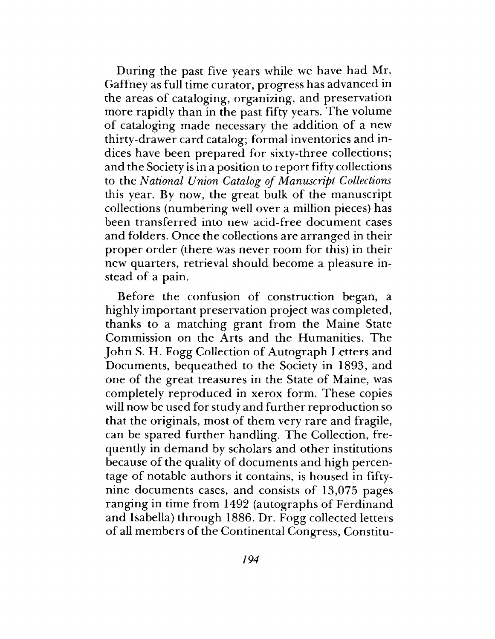During the past five years while we have had Mr. Gaffney as full time curator, progress has advanced in the areas of cataloging, organizing, and preservation more rapidly than in the past fifty years. The volume of cataloging made necessary the addition of a new thirty-drawer card catalog; formal inventories and indices have been prepared for sixty-three collections; and the Society is in a position to report fifty collections to the *National Union Catalog of Manuscript Collections* this year. By now, the great bulk of the manuscript collections (numbering well over a million pieces) has been transferred into new acid-free document cases and folders. Once the collections are arranged in their proper order (there was never room for this) in their new quarters, retrieval should become a pleasure instead of a pain.

Before the confusion of construction began, a highly important preservation project was completed, thanks to a matching grant from the Maine State Commission on the Arts and the Humanities. The John S. H. Fogg Collection of Autograph Letters and Documents, bequeathed to the Society in 1893, and one of the great treasures in the State of Maine, was completely reproduced in xerox form. These copies will now be used for study and further reproduction so that the originals, most of them very rare and fragile, can be spared further handling. The Collection, frequently in demand by scholars and other institutions because of the quality of documents and high percentage of notable authors it contains, is housed in fiftynine documents cases, and consists of 13,075 pages ranging in time from 1492 (autographs of Ferdinand and Isabella) through 1886. Dr. Fogg collected letters of all members of the Continental Congress, Constitu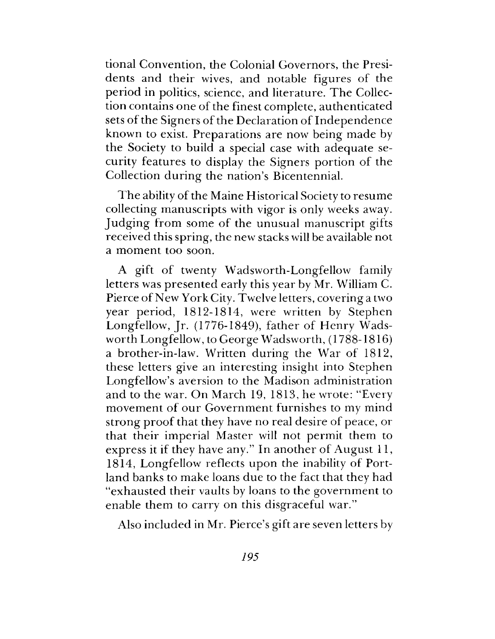tional Convention, the Colonial Governors, the Presidents and their wives, and notable figures of the period in politics, science, and literature. The Collection contains one of the finest complete, authenticated sets of the Signers of the Declaration of Independence known to exist. Preparations are now being made by the Society to build a special case with adequate security features to display the Signers portion of the Collection during the nation's Bicentennial.

The ability of the Maine Historical Society to resume collecting manuscripts with vigor is only weeks away. Judging from some of the unusual manuscript gifts received this spring, the new stacks will be available not a moment too soon.

A gift of twenty Wadsworth-Longfellow family letters was presented early this year by Mr. William C. Pierce of New York City. Twelve letters, covering a two year period, 1812-1814, were written by Stephen Longfellow, Jr. (1776-1849), father of Henry Wadsworth Longfellow, to George Wadsworth, (1788-1816) a brother-in-law. Written during the War of 1812, these letters give an interesting insight into Stephen Longfellow's aversion to the Madison administration and to the war. On March 19, 1813, he wrote: "Every movement of our Government furnishes to my mind strong proof that they have no real desire of peace, or that their imperial Master will not permit them to express it if they have any." In another of August 11, 1814, Longfellow reflects upon the inability of Portland banks to make loans due to the fact that they had "exhausted their vaults by loans to the government to enable them to carry on this disgraceful war."

Also included in Mr. Pierce's gift are seven letters by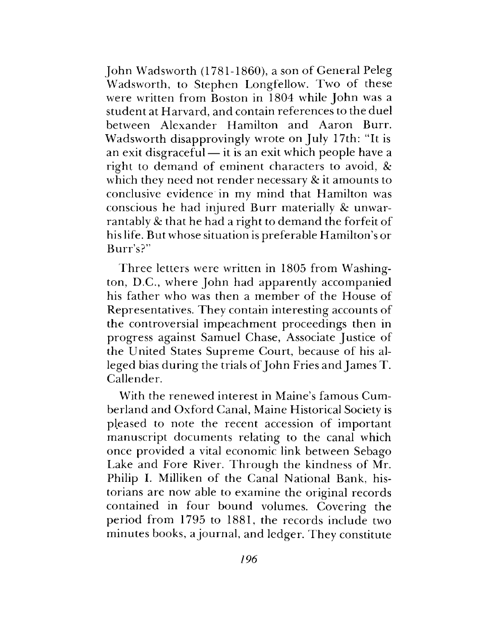John Wadsworth (1781-1860), a son of General Peleg Wadsworth, to Stephen Longfellow. Two of these were written from Boston in 1804 while John was a student at Harvard, and contain references to the duel between Alexander Hamilton and Aaron Burr. Wadsworth disapprovingly wrote on July 17th: "It is an exit disgraceful — it is an exit which people have a right to demand of eminent characters to avoid, & which they need not render necessary & it amounts to conclusive evidence in my mind that Hamilton was conscious he had injured Burr materially & unwarrantably & that he had a right to demand the forfeit of his life. But whose situation is preferable Hamilton'<sup>s</sup> or Burr's?"

Three letters were written in 1805 from Washington, D.C., where John had apparently accompanied his father who was then a member of the House of Representatives. They contain interesting accounts of the controversial impeachment proceedings then in progress against Samuel Chase, Associate Justice of the United States Supreme Court, because of his alleged bias during the trials of John Fries and James T. Callender.

With the renewed interest in Maine's famous Cumberland and Oxford Canal, Maine Historical Society is pleased to note the recent accession of important manuscript documents relating to the canal which once provided a vital economic link between Sebago Lake and Fore River. Through the kindness of Mr. Philip I. Milliken of the Canal National Bank, historians are now able to examine the original records contained in four bound volumes. Covering the period from 1795 to 1881, the records include two minutes books, a journal, and ledger. They constitute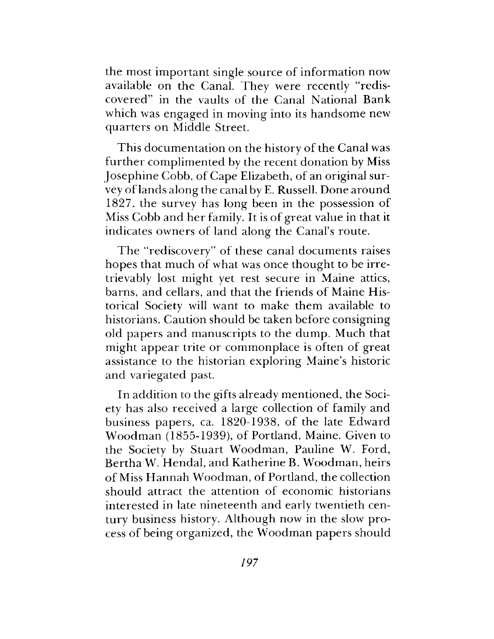the most important single source of information now available on the Canal. They were recently "rediscovered" in the vaults of the Canal National Bank which was engaged in moving into its handsome new quarters on Middle Street.

This documentation on the history of the Canal was further complimented by the recent donation by Miss Josephine Cobb, of Cape Elizabeth, of an original survey oflands along the canal by E. Russell. Done around 1827. the survey has long been in the possession of Miss Cobb and her family. It is of great value in that it indicates owners of land along the Canal'<sup>s</sup> route.

The "rediscovery" of these canal documents raises hopes that much of what was once thought to be irretrievably lost might yet rest secure in Maine attics, barns, and cellars, and that the friends of Maine Historical Society will want to make them available to historians. Caution should be taken before consigning old papers and manuscripts to the dump. Much that might appear trite or commonplace is often of great assistance to the historian exploring Maine'<sup>s</sup> historic and variegated past.

In addition to the gifts already mentioned, the Society has also received a large collection of family and business papers, ca. 1820-1938, of the late Edward Woodman (1855-1939), of Portland, Maine. Given to the Society by Stuart Woodman, Pauline W. Ford, Bertha W. Hendal, and Katherine B. Woodman, heirs of Miss Hannah Woodman, of Portland, the collection should attract the attention of economic historians interested in late nineteenth and early twentieth century business history. Although now in the slow process of being organized, the Woodman papers should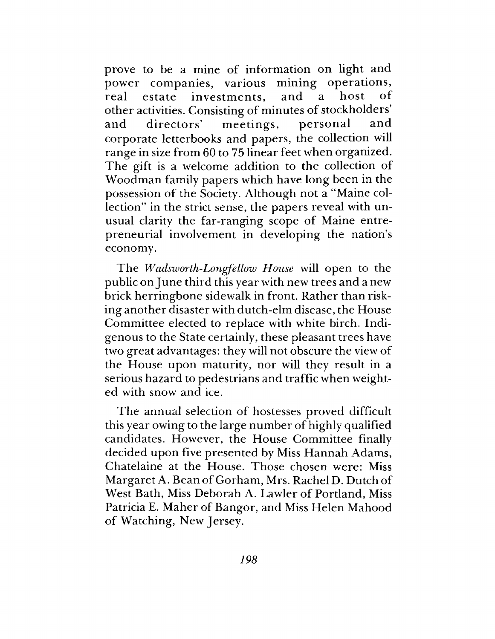prove to be a mine of information on light and power companies, various mining operations, real estate investments, and a host of other activities. Consisting of minutes of stockholders' and directors' meetings, personal and corporate letterbooks and papers, the collection will range in size from 60 to 75 linear feet when organized. The gift is a welcome addition to the collection of Woodman family papers which have long been in the possession of the Society. Although not a "Maine collection" in the strict sense, the papers reveal with unusual clarity the far-ranging scope of Maine entrepreneurial involvement in developing the nation's economy.

The *Wadsworth-Longfellow House* will open to the public on June third this year with new trees and a new brick herringbone sidewalk in front. Rather than risking another disaster with dutch-elm disease, the House Committee elected to replace with white birch. Indigenous to the State certainly, these pleasant trees have two great advantages: they will not obscure the view of the House upon maturity, nor will they result in a serious hazard to pedestrians and traffic when weighted with snow and ice.

The annual selection of hostesses proved difficult this year owing to the large number of highly qualified candidates. However, the House Committee finally decided upon five presented by Miss Hannah Adams, Chatelaine at the House. Those chosen were: Miss Margaret A. Bean of Gorham, Mrs. Rachel D. Dutch of West Bath, Miss Deborah A. Lawler of Portland, Miss Patricia E. Maher of Bangor, and Miss Helen Mahood of Watching, New Jersey.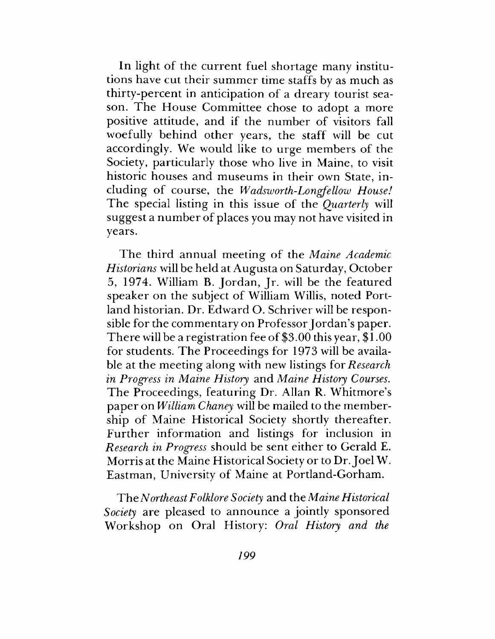In light of the current fuel shortage many institutions have cut their summer time staffs by as much as thirty-percent in anticipation of a dreary tourist season. The House Committee chose to adopt a more positive attitude, and if the number of visitors fall woefully behind other years, the staff will be cut accordingly. We would like to urge members of the Society, particularly those who live in Maine, to visit historic houses and museums in their own State, including of course, the *Wadsworth-Longfellow House!* The special listing in this issue of the *Quarterly* will suggest a number of places you may not have visited in years.

The third annual meeting of the *Maine Academic Historians* will be held at Augusta on Saturday, October 5, 1974. William B. Jordan, Jr. will be the featured speaker on the subject of William Willis, noted Portland historian. Dr. Edward O. Schriver will be responsible for the commentary on Professor Jordan's paper. There will be a registration fee of\$3.00 this year, \$1.00 for students. The Proceedings for 1973 will be available at the meeting along with new listings for *Research in Progress in Maine History* and *Maine History Courses.* The Proceedings, featuring Dr. Allan R. Whitmore'<sup>s</sup> paper on *William Chaney* will be mailed to the membership of Maine Historical Society shortly thereafter. Further information and listings for inclusion in *Research in Progress* should be sent either to Gerald E. Morris at the Maine Historical Society or to Dr. Joel W. Eastman, University of Maine at Portland-Gorham.

The*Northeast Folklore Society* and the *Maine Historical Society* are pleased to announce a jointly sponsored Workshop on Oral History: *Oral History and the*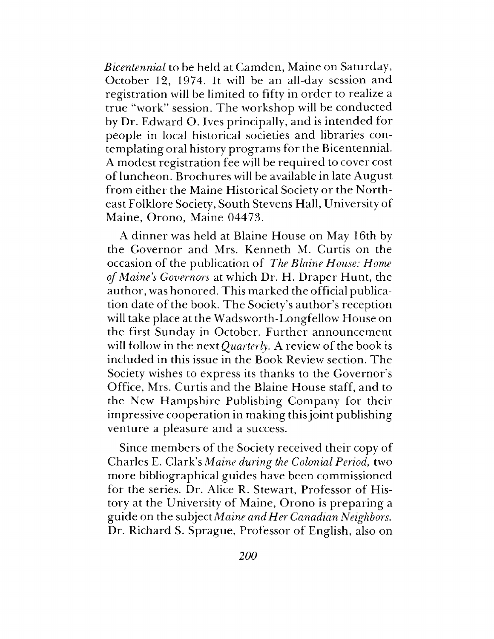*Bicentennial* to be held at Camden, Maine on Saturday, October 12, 1974. It will be an all-day session and registration will be limited to fifty in order to realize a true "work" session. The workshop will be conducted by Dr. Edward O. Ives principally, and is intended for people in local historical societies and libraries contemplating oral history programs for the Bicentennial. A modest registration fee will be required to cover cost of luncheon. Brochures will be available in late August from either the Maine Historical Society or the Northeast Folklore Society, South Stevens Hall, University of Maine, Orono, Maine 04473.

A dinner was held at Blaine House on May 16th by the Governor and Mrs. Kenneth M. Curtis on the occasion of the publication of *The Blaine House: Home ofMaine's Governors* at which Dr. H. Draper Hunt, the author, was honored. This marked the official publication date of the book. The Society'<sup>s</sup> author'<sup>s</sup> reception will take place at the Wadsworth-Longfellow House on the first Sunday in October. Further announcement will follow in the next *Quarterly*. A review of the book is included in this issue in the Book Review section. The Society wishes to express its thanks to the Governor'<sup>s</sup> Office, Mrs. Curtis and the Blaine House staff, and to the New Hampshire Publishing Company for their impressive cooperation in making thisjoint publishing venture a pleasure and a success.

Since members of the Society received their copy of Charles E. Clark's *Maine during the Colonial Period,* two more bibliographical guides have been commissioned for the series. Dr. Alice R. Stewart, Professor of History at the University of Maine, Orono is preparing a guide on the subject*Maine andHer Canadian Neighbors.* Dr. Richard S. Sprague, Professor of English, also on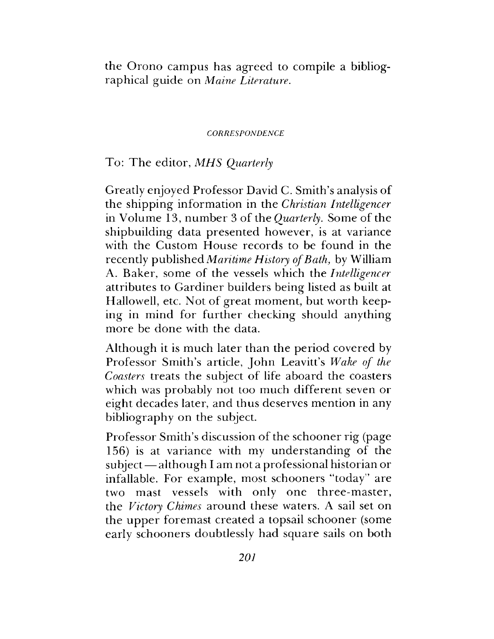the Orono campus has agreed to compile a bibliographical guide on *Maine Literature.*

#### *CORRESPONDENCE*

To: The editor, *MHS Quarterly*

Greatly enjoyed Professor David C. Smith'<sup>s</sup> analysis of the shipping information in the *Christian Intelligencer* in Volume 13, number 3 of the *Quarterly.* Some of the shipbuilding data presented however, is at variance with the Custom House records to be found in the recently published *Maritime History ofBath,* by William A. Baker, some of the vessels which the *Intelligencer* attributes to Gardiner builders being listed as built at Hallowell, etc. Not of great moment, but worth keeping in mind for further checking should anything more be done with the data.

Although it is much later than the period covered by Professor Smith'<sup>s</sup> article, John Leavitt'<sup>s</sup> *Wake of the Coasters* treats the subject of life aboard the coasters which was probably not too much different seven or eight decades later, and thus deserves mention in any bibliography on the subject.

Professor Smith'<sup>s</sup> discussion of the schooner rig (page 156) is at variance with my understanding of the subject —although I am not a professional historian or infallable. For example, most schooners "today" are two mast vessels with only one three-master, the *Victory Chimes* around these waters. A sail set on the upper foremast created a topsail schooner (some early schooners doubtlessly had square sails on both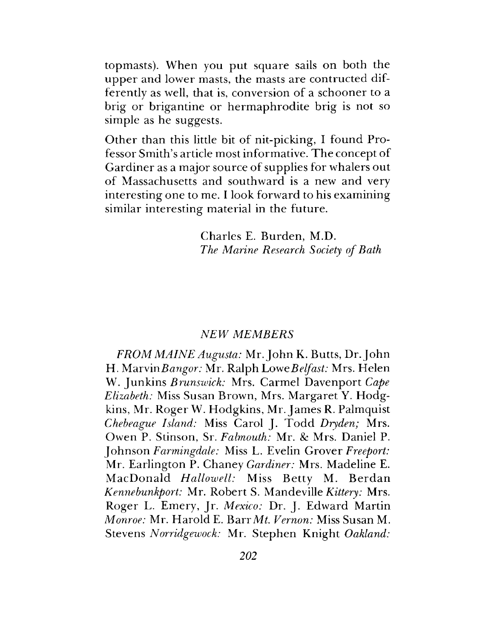topmasts). When you put square sails on both the upper and lower masts, the masts are contructed differently as well, that is, conversion of a schooner to a brig or brigantine or hermaphrodite brig is not so simple as he suggests.

Other than this little bit of nit-picking, I found Professor Smith'<sup>s</sup> article most informative. The concept of Gardiner as a major source of supplies for whalers out of Massachusetts and southward is a new and very interesting one to me. I look forward to his examining similar interesting material in the future.

> Charles E. Burden, M.D. *The Marine Research Society ofBath*

#### *NEW MEMBERS*

*EROM MAINE Augusta:* Mr. John K. Butts, Dr.John H. Marvin*Bangor:* Mr. Ralph *LcrweBelfast:* Mrs. Helen W. Junkins *Brunswick:* Mrs. Carmel Davenport *Cape Elizabeth:* Miss Susan Brown, Mrs. Margaret Y. Hodgkins, Mr. Roger W. Hodgkins, Mr. James R. Palmquist *Chebeague Island:* Miss Carol J. Todd *Dryden;* Mrs. Owen P. Stinson, Sr. *Falmouth:* Mr. & Mrs. Daniel P. Johnson *Farmingdale:* Miss L. Evelin Grover *Freeport:* Mr. Earlington P. Chaney *Gardiner:* Mrs. Madeline E. MacDonald *Hallowell:* Miss Betty M. Berdan *Kennebunkport:* Mr. Robert S. Mandeville *Kittery:* Mrs. Roger L. Emery, Jr. *Mexico:* Dr. J. Edward Martin *Monroe:* Mr. Harold E. Barr Mi. *Vernon:* Miss Susan M. Stevens *Norridgewock:* Mr. Stephen Knight *Oakland:*